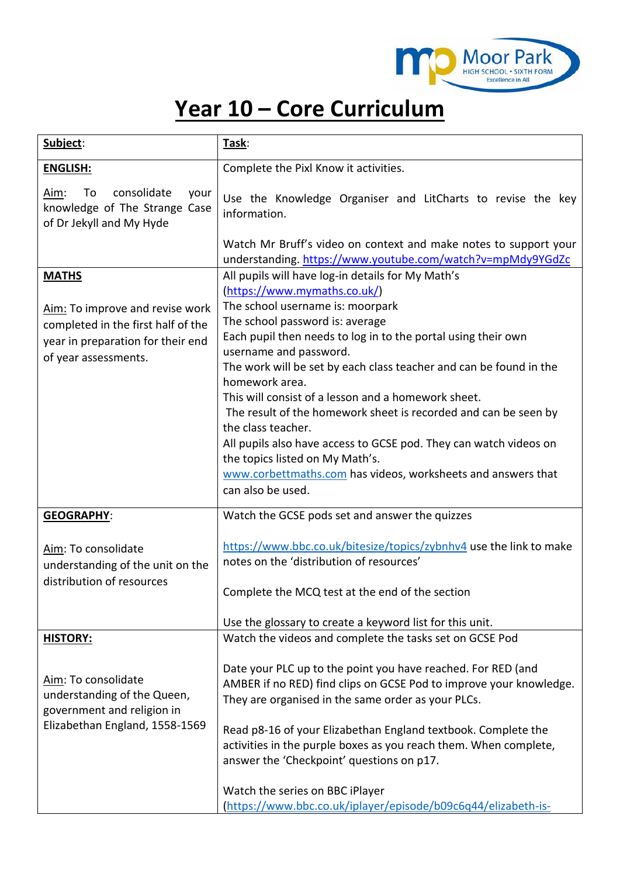

## **Year 10 – Core Curriculum**

| Subject:                                                                                                                                           | Task:                                                                                                                                                                                                                                                                                                                                                                                                                                                                                                                                                                                                                                                                                    |
|----------------------------------------------------------------------------------------------------------------------------------------------------|------------------------------------------------------------------------------------------------------------------------------------------------------------------------------------------------------------------------------------------------------------------------------------------------------------------------------------------------------------------------------------------------------------------------------------------------------------------------------------------------------------------------------------------------------------------------------------------------------------------------------------------------------------------------------------------|
| <b>ENGLISH:</b>                                                                                                                                    | Complete the Pixl Know it activities.                                                                                                                                                                                                                                                                                                                                                                                                                                                                                                                                                                                                                                                    |
| consolidate<br>Aim:<br>To<br>your<br>knowledge of The Strange Case<br>of Dr Jekyll and My Hyde                                                     | Use the Knowledge Organiser and LitCharts to revise the key<br>information.<br>Watch Mr Bruff's video on context and make notes to support your                                                                                                                                                                                                                                                                                                                                                                                                                                                                                                                                          |
|                                                                                                                                                    | understanding. https://www.youtube.com/watch?v=mpMdy9YGdZc                                                                                                                                                                                                                                                                                                                                                                                                                                                                                                                                                                                                                               |
| <b>MATHS</b><br>Aim: To improve and revise work<br>completed in the first half of the<br>year in preparation for their end<br>of year assessments. | All pupils will have log-in details for My Math's<br>(https://www.mymaths.co.uk/)<br>The school username is: moorpark<br>The school password is: average<br>Each pupil then needs to log in to the portal using their own<br>username and password.<br>The work will be set by each class teacher and can be found in the<br>homework area.<br>This will consist of a lesson and a homework sheet.<br>The result of the homework sheet is recorded and can be seen by<br>the class teacher.<br>All pupils also have access to GCSE pod. They can watch videos on<br>the topics listed on My Math's.<br>www.corbettmaths.com has videos, worksheets and answers that<br>can also be used. |
| <b>GEOGRAPHY:</b>                                                                                                                                  | Watch the GCSE pods set and answer the quizzes                                                                                                                                                                                                                                                                                                                                                                                                                                                                                                                                                                                                                                           |
| Aim: To consolidate<br>understanding of the unit on the<br>distribution of resources                                                               | https://www.bbc.co.uk/bitesize/topics/zybnhv4 use the link to make<br>notes on the 'distribution of resources'<br>Complete the MCQ test at the end of the section                                                                                                                                                                                                                                                                                                                                                                                                                                                                                                                        |
|                                                                                                                                                    | Use the glossary to create a keyword list for this unit.                                                                                                                                                                                                                                                                                                                                                                                                                                                                                                                                                                                                                                 |
| <b>HISTORY:</b><br>Aim: To consolidate<br>understanding of the Queen,<br>government and religion in<br>Elizabethan England, 1558-1569              | Watch the videos and complete the tasks set on GCSE Pod<br>Date your PLC up to the point you have reached. For RED (and<br>AMBER if no RED) find clips on GCSE Pod to improve your knowledge.<br>They are organised in the same order as your PLCs.<br>Read p8-16 of your Elizabethan England textbook. Complete the<br>activities in the purple boxes as you reach them. When complete,<br>answer the 'Checkpoint' questions on p17.                                                                                                                                                                                                                                                    |
|                                                                                                                                                    | Watch the series on BBC iPlayer<br>(https://www.bbc.co.uk/iplayer/episode/b09c6q44/elizabeth-is-                                                                                                                                                                                                                                                                                                                                                                                                                                                                                                                                                                                         |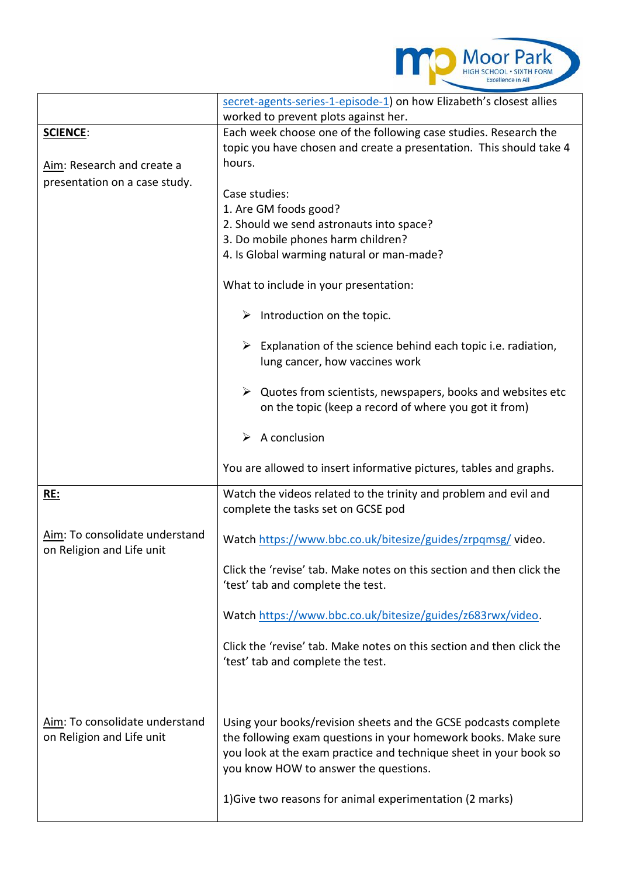

|                                                             | secret-agents-series-1-episode-1) on how Elizabeth's closest allies<br>worked to prevent plots against her.                                                                                                                                     |
|-------------------------------------------------------------|-------------------------------------------------------------------------------------------------------------------------------------------------------------------------------------------------------------------------------------------------|
| <b>SCIENCE:</b>                                             | Each week choose one of the following case studies. Research the                                                                                                                                                                                |
|                                                             | topic you have chosen and create a presentation. This should take 4                                                                                                                                                                             |
| Aim: Research and create a                                  | hours.                                                                                                                                                                                                                                          |
| presentation on a case study.                               |                                                                                                                                                                                                                                                 |
|                                                             | Case studies:                                                                                                                                                                                                                                   |
|                                                             | 1. Are GM foods good?                                                                                                                                                                                                                           |
|                                                             | 2. Should we send astronauts into space?<br>3. Do mobile phones harm children?                                                                                                                                                                  |
|                                                             | 4. Is Global warming natural or man-made?                                                                                                                                                                                                       |
|                                                             |                                                                                                                                                                                                                                                 |
|                                                             | What to include in your presentation:                                                                                                                                                                                                           |
|                                                             | Introduction on the topic.<br>➤                                                                                                                                                                                                                 |
|                                                             | $\triangleright$ Explanation of the science behind each topic i.e. radiation,<br>lung cancer, how vaccines work                                                                                                                                 |
|                                                             | $\triangleright$ Quotes from scientists, newspapers, books and websites etc<br>on the topic (keep a record of where you got it from)                                                                                                            |
|                                                             | A conclusion<br>➤                                                                                                                                                                                                                               |
|                                                             |                                                                                                                                                                                                                                                 |
|                                                             | You are allowed to insert informative pictures, tables and graphs.                                                                                                                                                                              |
| <b>RE:</b>                                                  | Watch the videos related to the trinity and problem and evil and<br>complete the tasks set on GCSE pod                                                                                                                                          |
| Aim: To consolidate understand<br>on Religion and Life unit | Watch https://www.bbc.co.uk/bitesize/guides/zrpqmsg/video.                                                                                                                                                                                      |
|                                                             | Click the 'revise' tab. Make notes on this section and then click the<br>'test' tab and complete the test.                                                                                                                                      |
|                                                             | Watch https://www.bbc.co.uk/bitesize/guides/z683rwx/video.                                                                                                                                                                                      |
|                                                             | Click the 'revise' tab. Make notes on this section and then click the<br>'test' tab and complete the test.                                                                                                                                      |
| Aim: To consolidate understand<br>on Religion and Life unit | Using your books/revision sheets and the GCSE podcasts complete<br>the following exam questions in your homework books. Make sure<br>you look at the exam practice and technique sheet in your book so<br>you know HOW to answer the questions. |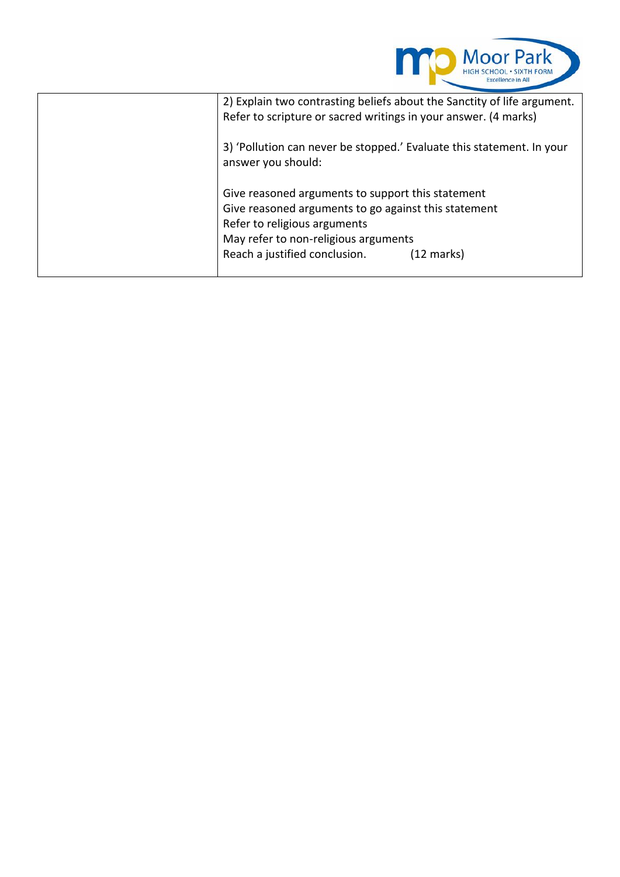

| 2) Explain two contrasting beliefs about the Sanctity of life argument. |
|-------------------------------------------------------------------------|
| Refer to scripture or sacred writings in your answer. (4 marks)         |
|                                                                         |
| 3) 'Pollution can never be stopped.' Evaluate this statement. In your   |
| answer you should:                                                      |
|                                                                         |
| Give reasoned arguments to support this statement                       |
| Give reasoned arguments to go against this statement                    |
| Refer to religious arguments                                            |
| May refer to non-religious arguments                                    |
| Reach a justified conclusion.<br>(12 marks)                             |
|                                                                         |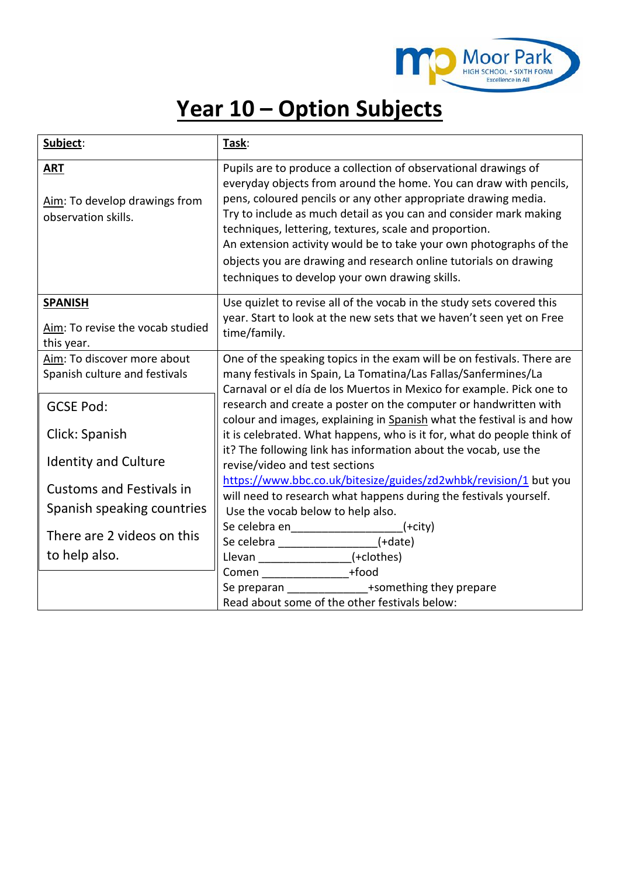

## **Year 10 – Option Subjects**

| Subject:                                                           | Task:                                                                                                                                                                                                                                                                                                                                                                                                                                                                                                                             |
|--------------------------------------------------------------------|-----------------------------------------------------------------------------------------------------------------------------------------------------------------------------------------------------------------------------------------------------------------------------------------------------------------------------------------------------------------------------------------------------------------------------------------------------------------------------------------------------------------------------------|
| <b>ART</b><br>Aim: To develop drawings from<br>observation skills. | Pupils are to produce a collection of observational drawings of<br>everyday objects from around the home. You can draw with pencils,<br>pens, coloured pencils or any other appropriate drawing media.<br>Try to include as much detail as you can and consider mark making<br>techniques, lettering, textures, scale and proportion.<br>An extension activity would be to take your own photographs of the<br>objects you are drawing and research online tutorials on drawing<br>techniques to develop your own drawing skills. |
| <b>SPANISH</b><br>Aim: To revise the vocab studied<br>this year.   | Use quizlet to revise all of the vocab in the study sets covered this<br>year. Start to look at the new sets that we haven't seen yet on Free<br>time/family.                                                                                                                                                                                                                                                                                                                                                                     |
| Aim: To discover more about<br>Spanish culture and festivals       | One of the speaking topics in the exam will be on festivals. There are<br>many festivals in Spain, La Tomatina/Las Fallas/Sanfermines/La<br>Carnaval or el día de los Muertos in Mexico for example. Pick one to                                                                                                                                                                                                                                                                                                                  |
| <b>GCSE Pod:</b>                                                   | research and create a poster on the computer or handwritten with<br>colour and images, explaining in Spanish what the festival is and how                                                                                                                                                                                                                                                                                                                                                                                         |
| Click: Spanish                                                     | it is celebrated. What happens, who is it for, what do people think of<br>it? The following link has information about the vocab, use the                                                                                                                                                                                                                                                                                                                                                                                         |
| <b>Identity and Culture</b>                                        | revise/video and test sections                                                                                                                                                                                                                                                                                                                                                                                                                                                                                                    |
| <b>Customs and Festivals in</b><br>Spanish speaking countries      | https://www.bbc.co.uk/bitesize/guides/zd2whbk/revision/1 but you<br>will need to research what happens during the festivals yourself.<br>Use the vocab below to help also.                                                                                                                                                                                                                                                                                                                                                        |
| There are 2 videos on this<br>to help also.                        | Se celebra en____________________(+city)<br>Se celebra __________________(+date)<br>Llevan _________________(+clothes)                                                                                                                                                                                                                                                                                                                                                                                                            |
|                                                                    | Comen __________________+food<br>Se preparan ______________+something they prepare<br>Read about some of the other festivals below:                                                                                                                                                                                                                                                                                                                                                                                               |
|                                                                    |                                                                                                                                                                                                                                                                                                                                                                                                                                                                                                                                   |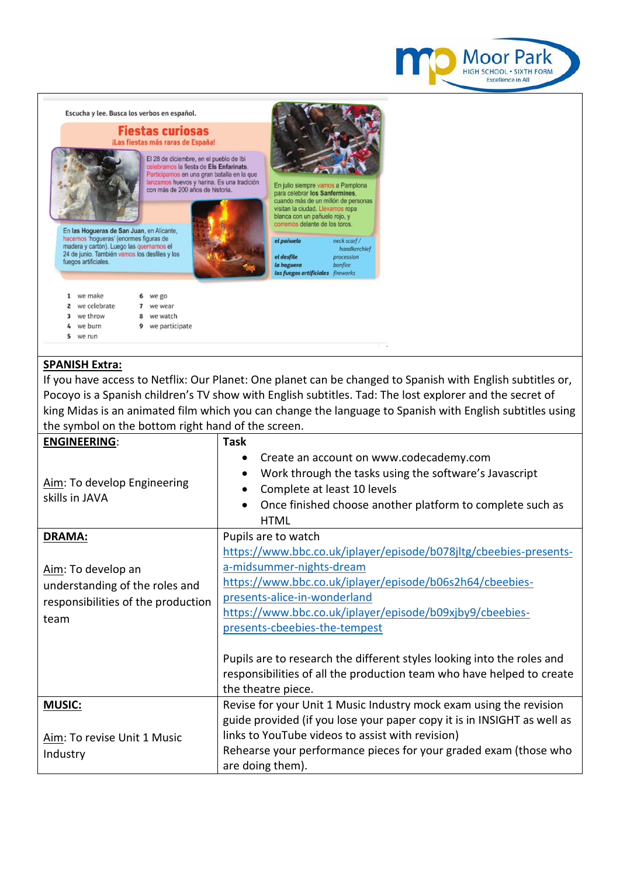



## **SPANISH Extra:**

If you have access to Netflix: Our Planet: One planet can be changed to Spanish with English subtitles or, Pocoyo is a Spanish children's TV show with English subtitles. Tad: The lost explorer and the secret of king Midas is an animated film which you can change the language to Spanish with English subtitles using the symbol on the bottom right hand of the screen.

| <b>ENGINEERING:</b>                           | <b>Task</b>                                                                                                                                                                                                                                                      |
|-----------------------------------------------|------------------------------------------------------------------------------------------------------------------------------------------------------------------------------------------------------------------------------------------------------------------|
| Aim: To develop Engineering<br>skills in JAVA | Create an account on www.codecademy.com<br>$\bullet$<br>Work through the tasks using the software's Javascript<br>$\bullet$<br>Complete at least 10 levels<br>$\bullet$<br>Once finished choose another platform to complete such as<br>$\bullet$<br><b>HTML</b> |
| <b>DRAMA:</b>                                 | Pupils are to watch                                                                                                                                                                                                                                              |
|                                               | https://www.bbc.co.uk/iplayer/episode/b078jltg/cbeebies-presents-                                                                                                                                                                                                |
| Aim: To develop an                            | a-midsummer-nights-dream                                                                                                                                                                                                                                         |
| understanding of the roles and                | https://www.bbc.co.uk/iplayer/episode/b06s2h64/cbeebies-                                                                                                                                                                                                         |
| responsibilities of the production            | presents-alice-in-wonderland                                                                                                                                                                                                                                     |
| team                                          | https://www.bbc.co.uk/iplayer/episode/b09xjby9/cbeebies-                                                                                                                                                                                                         |
|                                               | presents-cbeebies-the-tempest                                                                                                                                                                                                                                    |
|                                               | Pupils are to research the different styles looking into the roles and<br>responsibilities of all the production team who have helped to create<br>the theatre piece.                                                                                            |
| <b>MUSIC:</b>                                 | Revise for your Unit 1 Music Industry mock exam using the revision                                                                                                                                                                                               |
|                                               | guide provided (if you lose your paper copy it is in INSIGHT as well as                                                                                                                                                                                          |
| Aim: To revise Unit 1 Music                   | links to YouTube videos to assist with revision)                                                                                                                                                                                                                 |
| Industry                                      | Rehearse your performance pieces for your graded exam (those who                                                                                                                                                                                                 |
|                                               | are doing them).                                                                                                                                                                                                                                                 |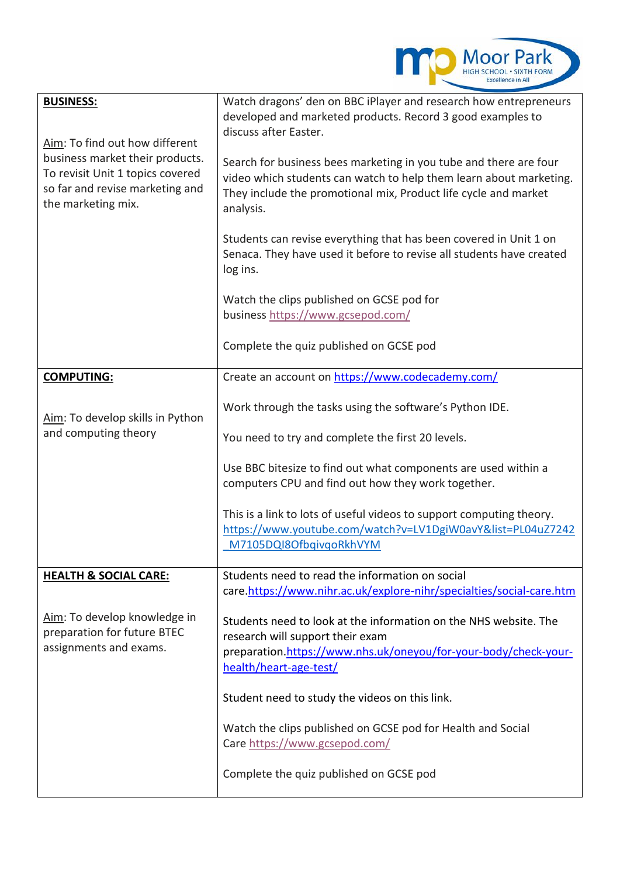

| <b>BUSINESS:</b><br>Aim: To find out how different<br>business market their products.<br>To revisit Unit 1 topics covered<br>so far and revise marketing and<br>the marketing mix. | Watch dragons' den on BBC iPlayer and research how entrepreneurs<br>developed and marketed products. Record 3 good examples to<br>discuss after Easter.<br>Search for business bees marketing in you tube and there are four<br>video which students can watch to help them learn about marketing.<br>They include the promotional mix, Product life cycle and market<br>analysis.<br>Students can revise everything that has been covered in Unit 1 on<br>Senaca. They have used it before to revise all students have created<br>log ins.<br>Watch the clips published on GCSE pod for<br>business https://www.gcsepod.com/<br>Complete the quiz published on GCSE pod |
|------------------------------------------------------------------------------------------------------------------------------------------------------------------------------------|--------------------------------------------------------------------------------------------------------------------------------------------------------------------------------------------------------------------------------------------------------------------------------------------------------------------------------------------------------------------------------------------------------------------------------------------------------------------------------------------------------------------------------------------------------------------------------------------------------------------------------------------------------------------------|
| <b>COMPUTING:</b>                                                                                                                                                                  | Create an account on https://www.codecademy.com/                                                                                                                                                                                                                                                                                                                                                                                                                                                                                                                                                                                                                         |
| Aim: To develop skills in Python<br>and computing theory                                                                                                                           | Work through the tasks using the software's Python IDE.<br>You need to try and complete the first 20 levels.<br>Use BBC bitesize to find out what components are used within a<br>computers CPU and find out how they work together.<br>This is a link to lots of useful videos to support computing theory.<br>https://www.youtube.com/watch?v=LV1DgiW0avY&list=PL04uZ7242<br>M7105DQI8OfbqivqoRkhVYM                                                                                                                                                                                                                                                                   |
| <b>HEALTH &amp; SOCIAL CARE:</b>                                                                                                                                                   | Students need to read the information on social<br>care.https://www.nihr.ac.uk/explore-nihr/specialties/social-care.htm                                                                                                                                                                                                                                                                                                                                                                                                                                                                                                                                                  |
| Aim: To develop knowledge in<br>preparation for future BTEC<br>assignments and exams.                                                                                              | Students need to look at the information on the NHS website. The<br>research will support their exam<br>preparation.https://www.nhs.uk/oneyou/for-your-body/check-your-<br>health/heart-age-test/<br>Student need to study the videos on this link.                                                                                                                                                                                                                                                                                                                                                                                                                      |
|                                                                                                                                                                                    | Watch the clips published on GCSE pod for Health and Social                                                                                                                                                                                                                                                                                                                                                                                                                                                                                                                                                                                                              |
|                                                                                                                                                                                    | Care https://www.gcsepod.com/<br>Complete the quiz published on GCSE pod                                                                                                                                                                                                                                                                                                                                                                                                                                                                                                                                                                                                 |